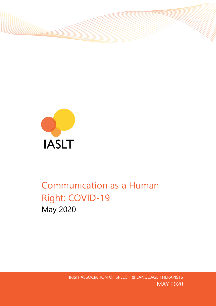

# Communication as a Human Right: COVID-19 May 2020

IRISH ASSOCIATION OF SPEECH & LANGUAGE THERAPISTS MAY 2020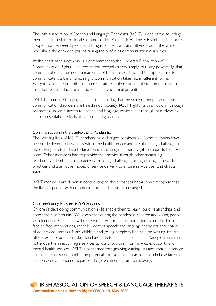The Irish Association of Speech and Language Therapists (IASLT) is one of the founding members of the International Communication Project (ICP). The ICP seeks and supports cooperation between Speech and Language Therapists and others around the world who share the common goal of raising the profile of communication disabilities.

At the heart of this network is a commitment to the Universal Declaration of Communication Rights. The Declaration recognises very simply, but very powerfully, that communication is the most fundamental of human capacities, and the opportunity to communicate is a basic human right. Communication takes many different forms. Everybody has the potential to communicate. People must be able to communicate to fulfil their social, educational, emotional and vocational potential.

IASLT is committed to playing its part in ensuring that the voice of people who have communication disorders are heard in our society. IASLT highlights this, not only through promoting universal access to speech and language services, but through our advocacy and representation efforts at national and global level.

#### Communication in the context of a Pandemic:

The working lives of IASLT members have changed considerably. Some members have been redeployed to new roles within the health service and are also facing challenges in the delivery of direct face-to-face speech and language therapy (SLT) supports to service users. Other members had to provide their service through other means, e.g. teletherapy. Members are proactively managing challenges through changes to work practices and alternative modes of service delivery to ensure service user and clinician safety.

IASLT members are driven in contributing to these changes because we recognise that the lives of people with communication needs have also changed.

#### Children/Young Persons (CYP) Services:

Children's developing communication skills enable them to learn, build relationships and access their community. We know that during the pandemic, children and young people with identified SLT needs will receive different or less supports due to a reduction in face to face interventions, redeployment of speech and language therapists and closure of educational settings. Many children and young people will remain on waiting lists and others will face additional delays in having their SLT needs identified. Redeployment must not erode the already fragile services across provisions in primary care, disability and mental health services. IASLT is concerned that growing waiting lists and breaks in service can limit a child's communication potential and calls for a clear roadmap in how face to face services can resume as part of the government's plan to recovery.